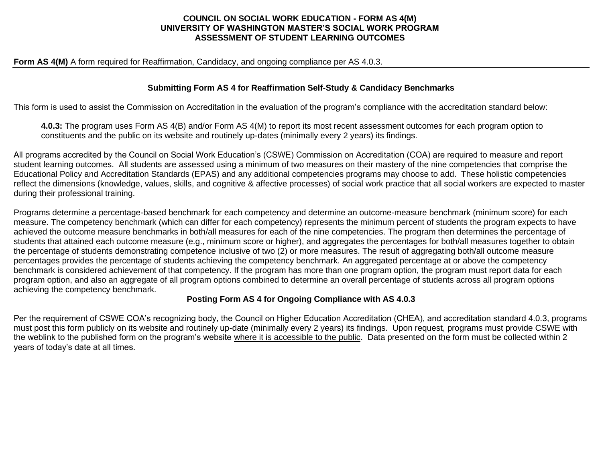## **COUNCIL ON SOCIAL WORK EDUCATION - FORM AS 4(M) UNIVERSITY OF WASHINGTON MASTER'S SOCIAL WORK PROGRAM ASSESSMENT OF STUDENT LEARNING OUTCOMES**

#### **Form AS 4(M)** A form required for Reaffirmation, Candidacy, and ongoing compliance per AS 4.0.3.

### **Submitting Form AS 4 for Reaffirmation Self-Study & Candidacy Benchmarks**

This form is used to assist the Commission on Accreditation in the evaluation of the program's compliance with the accreditation standard below:

**4.0.3:** The program uses Form AS 4(B) and/or Form AS 4(M) to report its most recent assessment outcomes for each program option to constituents and the public on its website and routinely up-dates (minimally every 2 years) its findings.

All programs accredited by the Council on Social Work Education's (CSWE) Commission on Accreditation (COA) are required to measure and report student learning outcomes. All students are assessed using a minimum of two measures on their mastery of the nine competencies that comprise the Educational Policy and Accreditation Standards (EPAS) and any additional competencies programs may choose to add. These holistic competencies reflect the dimensions (knowledge, values, skills, and cognitive & affective processes) of social work practice that all social workers are expected to master during their professional training.

Programs determine a percentage-based benchmark for each competency and determine an outcome-measure benchmark (minimum score) for each measure. The competency benchmark (which can differ for each competency) represents the minimum percent of students the program expects to have achieved the outcome measure benchmarks in both/all measures for each of the nine competencies. The program then determines the percentage of students that attained each outcome measure (e.g., minimum score or higher), and aggregates the percentages for both/all measures together to obtain the percentage of students demonstrating competence inclusive of two (2) or more measures. The result of aggregating both/all outcome measure percentages provides the percentage of students achieving the competency benchmark. An aggregated percentage at or above the competency benchmark is considered achievement of that competency. If the program has more than one program option, the program must report data for each program option, and also an aggregate of all program options combined to determine an overall percentage of students across all program options achieving the competency benchmark.

#### **Posting Form AS 4 for Ongoing Compliance with AS 4.0.3**

Per the requirement of CSWE COA's recognizing body, the Council on Higher Education Accreditation (CHEA), and accreditation standard 4.0.3, programs must post this form publicly on its website and routinely up-date (minimally every 2 years) its findings. Upon request, programs must provide CSWE with the weblink to the published form on the program's website where it is accessible to the public. Data presented on the form must be collected within 2 years of today's date at all times.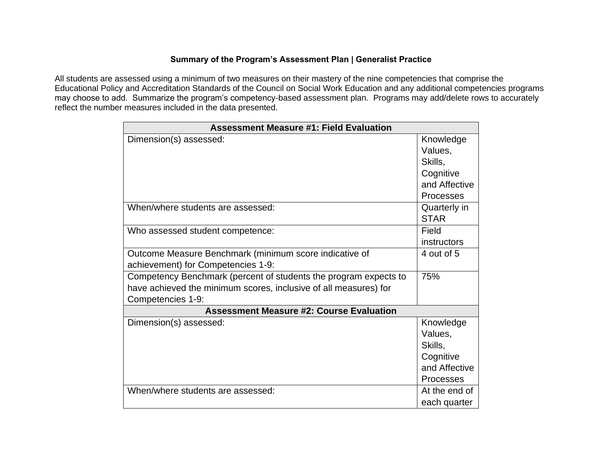## **Summary of the Program's Assessment Plan | Generalist Practice**

All students are assessed using a minimum of two measures on their mastery of the nine competencies that comprise the Educational Policy and Accreditation Standards of the Council on Social Work Education and any additional competencies programs may choose to add. Summarize the program's competency-based assessment plan. Programs may add/delete rows to accurately reflect the number measures included in the data presented.

| <b>Assessment Measure #1: Field Evaluation</b>                                                                                                            |                                                                            |  |
|-----------------------------------------------------------------------------------------------------------------------------------------------------------|----------------------------------------------------------------------------|--|
| Dimension(s) assessed:                                                                                                                                    | Knowledge<br>Values,<br>Skills,<br>Cognitive<br>and Affective<br>Processes |  |
| When/where students are assessed:                                                                                                                         | Quarterly in<br><b>STAR</b>                                                |  |
| Who assessed student competence:                                                                                                                          | Field<br>instructors                                                       |  |
| Outcome Measure Benchmark (minimum score indicative of<br>achievement) for Competencies 1-9:                                                              | 4 out of 5                                                                 |  |
| Competency Benchmark (percent of students the program expects to<br>have achieved the minimum scores, inclusive of all measures) for<br>Competencies 1-9: | 75%                                                                        |  |
| <b>Assessment Measure #2: Course Evaluation</b>                                                                                                           |                                                                            |  |
| Dimension(s) assessed:                                                                                                                                    | Knowledge<br>Values,<br>Skills,<br>Cognitive<br>and Affective<br>Processes |  |
| When/where students are assessed:                                                                                                                         | At the end of<br>each quarter                                              |  |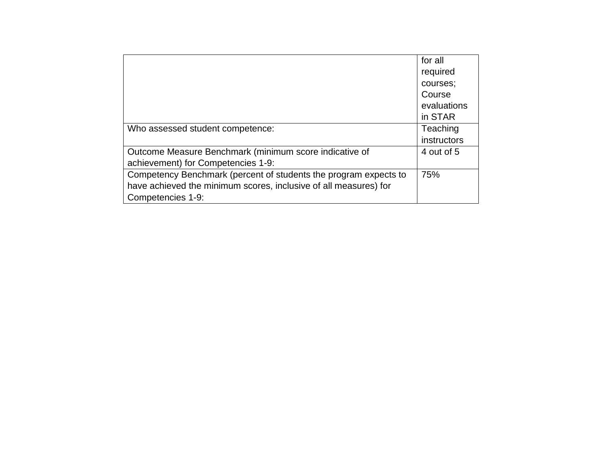|                                                                  | for all     |
|------------------------------------------------------------------|-------------|
|                                                                  | required    |
|                                                                  | courses;    |
|                                                                  | Course      |
|                                                                  | evaluations |
|                                                                  | in STAR     |
| Who assessed student competence:                                 | Teaching    |
|                                                                  | instructors |
| Outcome Measure Benchmark (minimum score indicative of           | 4 out of 5  |
| achievement) for Competencies 1-9:                               |             |
| Competency Benchmark (percent of students the program expects to | 75%         |
| have achieved the minimum scores, inclusive of all measures) for |             |
| Competencies 1-9:                                                |             |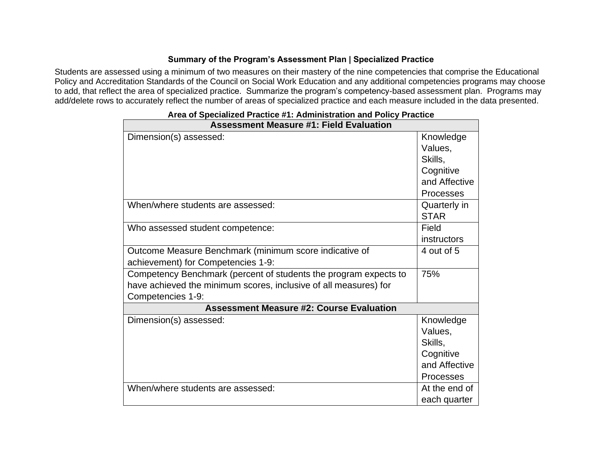## **Summary of the Program's Assessment Plan | Specialized Practice**

Students are assessed using a minimum of two measures on their mastery of the nine competencies that comprise the Educational Policy and Accreditation Standards of the Council on Social Work Education and any additional competencies programs may choose to add, that reflect the area of specialized practice. Summarize the program's competency-based assessment plan. Programs may add/delete rows to accurately reflect the number of areas of specialized practice and each measure included in the data presented.

| <b>Assessment Measure #1: Field Evaluation</b>                   |                  |  |
|------------------------------------------------------------------|------------------|--|
| Dimension(s) assessed:                                           | Knowledge        |  |
|                                                                  | Values,          |  |
|                                                                  | Skills,          |  |
|                                                                  | Cognitive        |  |
|                                                                  | and Affective    |  |
|                                                                  | <b>Processes</b> |  |
| When/where students are assessed:                                | Quarterly in     |  |
|                                                                  | <b>STAR</b>      |  |
| Who assessed student competence:                                 | Field            |  |
|                                                                  | instructors      |  |
| Outcome Measure Benchmark (minimum score indicative of           | 4 out of 5       |  |
| achievement) for Competencies 1-9:                               |                  |  |
| Competency Benchmark (percent of students the program expects to | 75%              |  |
| have achieved the minimum scores, inclusive of all measures) for |                  |  |
| Competencies 1-9:                                                |                  |  |
| <b>Assessment Measure #2: Course Evaluation</b>                  |                  |  |
| Dimension(s) assessed:                                           | Knowledge        |  |
|                                                                  | Values,          |  |
|                                                                  | Skills,          |  |
|                                                                  | Cognitive        |  |
|                                                                  | and Affective    |  |
|                                                                  | <b>Processes</b> |  |
| When/where students are assessed:                                | At the end of    |  |
|                                                                  | each quarter     |  |

|  |  | Area of Specialized Practice #1: Administration and Policy Practice |  |  |
|--|--|---------------------------------------------------------------------|--|--|
|  |  |                                                                     |  |  |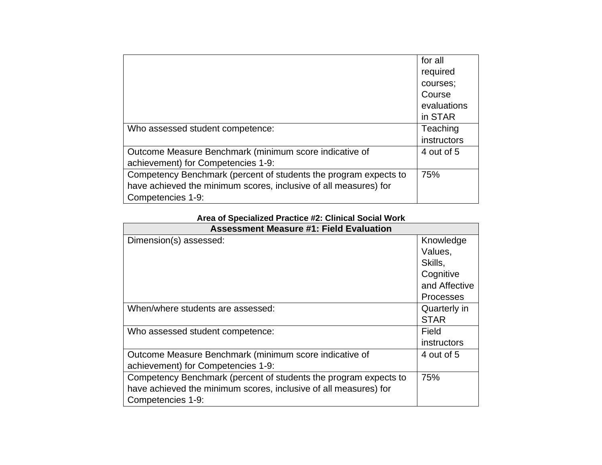|                                                                  | for all     |
|------------------------------------------------------------------|-------------|
|                                                                  | required    |
|                                                                  | courses;    |
|                                                                  | Course      |
|                                                                  | evaluations |
|                                                                  | in STAR     |
| Who assessed student competence:                                 | Teaching    |
|                                                                  | instructors |
| Outcome Measure Benchmark (minimum score indicative of           | 4 out of 5  |
| achievement) for Competencies 1-9:                               |             |
| Competency Benchmark (percent of students the program expects to | 75%         |
| have achieved the minimum scores, inclusive of all measures) for |             |
| Competencies 1-9:                                                |             |

## **Area of Specialized Practice #2: Clinical Social Work**

| <b>Assessment Measure #1: Field Evaluation</b>                   |               |  |
|------------------------------------------------------------------|---------------|--|
| Dimension(s) assessed:                                           | Knowledge     |  |
|                                                                  | Values,       |  |
|                                                                  | Skills.       |  |
|                                                                  | Cognitive     |  |
|                                                                  | and Affective |  |
|                                                                  | Processes     |  |
| When/where students are assessed:                                | Quarterly in  |  |
|                                                                  | <b>STAR</b>   |  |
| Who assessed student competence:                                 | Field         |  |
|                                                                  | instructors   |  |
| Outcome Measure Benchmark (minimum score indicative of           | 4 out of 5    |  |
| achievement) for Competencies 1-9:                               |               |  |
| Competency Benchmark (percent of students the program expects to | 75%           |  |
| have achieved the minimum scores, inclusive of all measures) for |               |  |
| Competencies 1-9:                                                |               |  |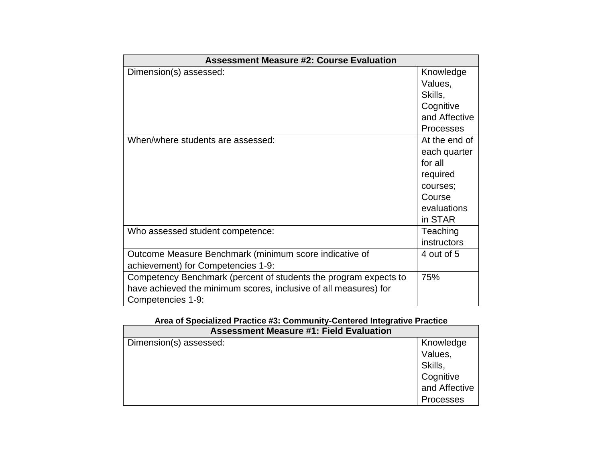| <b>Assessment Measure #2: Course Evaluation</b>                  |                    |  |  |
|------------------------------------------------------------------|--------------------|--|--|
| Dimension(s) assessed:                                           | Knowledge          |  |  |
|                                                                  | Values,            |  |  |
|                                                                  | Skills,            |  |  |
|                                                                  | Cognitive          |  |  |
|                                                                  | and Affective      |  |  |
|                                                                  | <b>Processes</b>   |  |  |
| When/where students are assessed:                                | At the end of      |  |  |
|                                                                  | each quarter       |  |  |
|                                                                  | for all            |  |  |
|                                                                  | required           |  |  |
|                                                                  | courses;           |  |  |
|                                                                  | Course             |  |  |
|                                                                  | evaluations        |  |  |
|                                                                  | in STAR            |  |  |
| Who assessed student competence:                                 | Teaching           |  |  |
|                                                                  | <i>instructors</i> |  |  |
| Outcome Measure Benchmark (minimum score indicative of           | 4 out of 5         |  |  |
| achievement) for Competencies 1-9:                               |                    |  |  |
| Competency Benchmark (percent of students the program expects to | 75%                |  |  |
| have achieved the minimum scores, inclusive of all measures) for |                    |  |  |
| Competencies 1-9:                                                |                    |  |  |

|  | Area of Specialized Practice #3: Community-Centered Integrative Practice |  |  |  |  |
|--|--------------------------------------------------------------------------|--|--|--|--|
|--|--------------------------------------------------------------------------|--|--|--|--|

| <b>Assessment Measure #1: Field Evaluation</b> |               |  |
|------------------------------------------------|---------------|--|
| Dimension(s) assessed:                         | Knowledge     |  |
|                                                | Values,       |  |
|                                                | Skills,       |  |
|                                                | Cognitive     |  |
|                                                | and Affective |  |
|                                                | Processes     |  |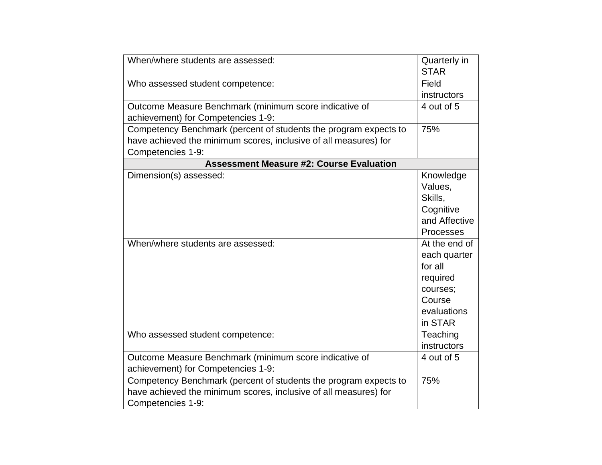| When/where students are assessed:                                                                                                                         | Quarterly in<br><b>STAR</b>                                                                          |
|-----------------------------------------------------------------------------------------------------------------------------------------------------------|------------------------------------------------------------------------------------------------------|
| Who assessed student competence:                                                                                                                          | Field<br>instructors                                                                                 |
| Outcome Measure Benchmark (minimum score indicative of<br>achievement) for Competencies 1-9:                                                              | 4 out of 5                                                                                           |
| Competency Benchmark (percent of students the program expects to<br>have achieved the minimum scores, inclusive of all measures) for<br>Competencies 1-9: | 75%                                                                                                  |
| <b>Assessment Measure #2: Course Evaluation</b>                                                                                                           |                                                                                                      |
| Dimension(s) assessed:                                                                                                                                    | Knowledge<br>Values,<br>Skills,<br>Cognitive<br>and Affective<br>Processes                           |
| When/where students are assessed:                                                                                                                         | At the end of<br>each quarter<br>for all<br>required<br>courses;<br>Course<br>evaluations<br>in STAR |
| Who assessed student competence:                                                                                                                          | Teaching<br>instructors                                                                              |
| Outcome Measure Benchmark (minimum score indicative of<br>achievement) for Competencies 1-9:                                                              | 4 out of 5                                                                                           |
| Competency Benchmark (percent of students the program expects to<br>have achieved the minimum scores, inclusive of all measures) for<br>Competencies 1-9: | 75%                                                                                                  |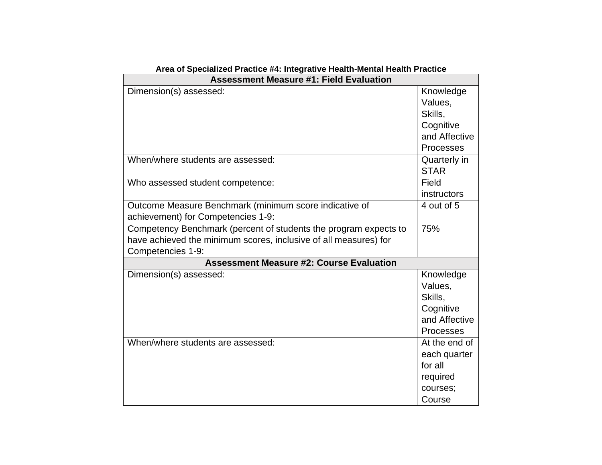| Area of Specialized Practice #4: Integrative Health-Mental Health Practice |               |  |
|----------------------------------------------------------------------------|---------------|--|
| <b>Assessment Measure #1: Field Evaluation</b>                             |               |  |
| Dimension(s) assessed:                                                     | Knowledge     |  |
|                                                                            | Values,       |  |
|                                                                            | Skills.       |  |
|                                                                            | Cognitive     |  |
|                                                                            | and Affective |  |
|                                                                            | Processes     |  |
| When/where students are assessed:                                          | Quarterly in  |  |
|                                                                            | <b>STAR</b>   |  |
| Who assessed student competence:                                           | Field         |  |
|                                                                            | instructors   |  |
| Outcome Measure Benchmark (minimum score indicative of                     | 4 out of 5    |  |
| achievement) for Competencies 1-9:                                         |               |  |
| Competency Benchmark (percent of students the program expects to           | 75%           |  |
| have achieved the minimum scores, inclusive of all measures) for           |               |  |
| Competencies 1-9:                                                          |               |  |
| <b>Assessment Measure #2: Course Evaluation</b>                            |               |  |
| Dimension(s) assessed:                                                     | Knowledge     |  |
|                                                                            | Values,       |  |
|                                                                            | Skills,       |  |
|                                                                            | Cognitive     |  |
|                                                                            | and Affective |  |
|                                                                            | Processes     |  |
| When/where students are assessed:                                          | At the end of |  |
|                                                                            | each quarter  |  |
|                                                                            | for all       |  |
|                                                                            | required      |  |
|                                                                            | courses;      |  |
|                                                                            | Course        |  |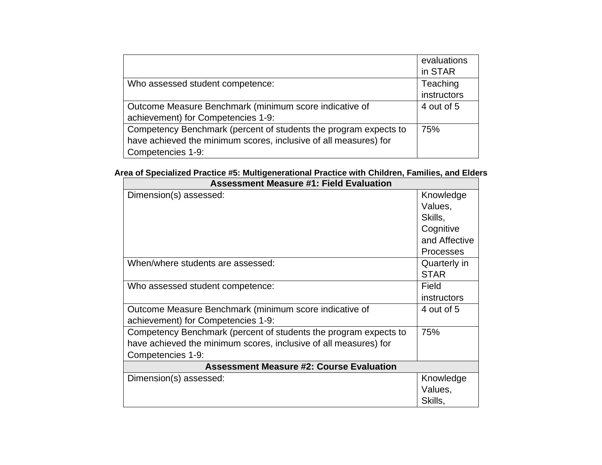|                                                                  | evaluations |
|------------------------------------------------------------------|-------------|
|                                                                  | in STAR     |
| Who assessed student competence:                                 | Teaching    |
|                                                                  | instructors |
| Outcome Measure Benchmark (minimum score indicative of           | 4 out of 5  |
| achievement) for Competencies 1-9:                               |             |
| Competency Benchmark (percent of students the program expects to | 75%         |
| have achieved the minimum scores, inclusive of all measures) for |             |
| Competencies 1-9:                                                |             |

## **Area of Specialized Practice #5: Multigenerational Practice with Children, Families, and Elders**

| <b>Assessment Measure #1: Field Evaluation</b>                   |                    |  |  |  |  |  |
|------------------------------------------------------------------|--------------------|--|--|--|--|--|
| Dimension(s) assessed:                                           | Knowledge          |  |  |  |  |  |
|                                                                  | Values,            |  |  |  |  |  |
|                                                                  | Skills,            |  |  |  |  |  |
|                                                                  | Cognitive          |  |  |  |  |  |
|                                                                  | and Affective      |  |  |  |  |  |
|                                                                  | <b>Processes</b>   |  |  |  |  |  |
| When/where students are assessed:                                | Quarterly in       |  |  |  |  |  |
|                                                                  | <b>STAR</b>        |  |  |  |  |  |
| Who assessed student competence:                                 | Field              |  |  |  |  |  |
|                                                                  | <i>instructors</i> |  |  |  |  |  |
| Outcome Measure Benchmark (minimum score indicative of           | 4 out of 5         |  |  |  |  |  |
| achievement) for Competencies 1-9:                               |                    |  |  |  |  |  |
| Competency Benchmark (percent of students the program expects to | 75%                |  |  |  |  |  |
| have achieved the minimum scores, inclusive of all measures) for |                    |  |  |  |  |  |
| Competencies 1-9:                                                |                    |  |  |  |  |  |
| <b>Assessment Measure #2: Course Evaluation</b>                  |                    |  |  |  |  |  |
| Dimension(s) assessed:                                           | Knowledge          |  |  |  |  |  |
|                                                                  | Values,            |  |  |  |  |  |
|                                                                  | Skills,            |  |  |  |  |  |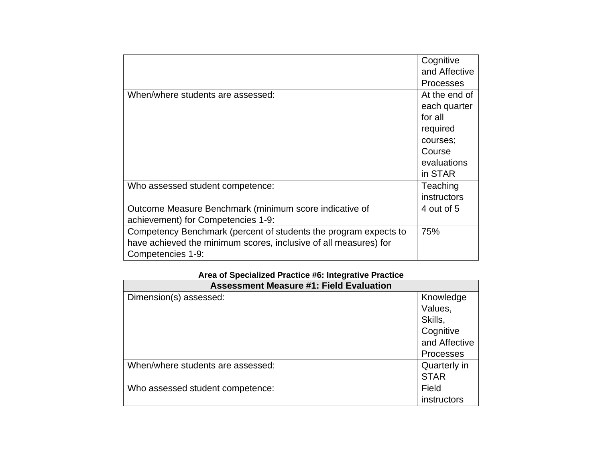|                                                                  | Cognitive        |
|------------------------------------------------------------------|------------------|
|                                                                  | and Affective    |
|                                                                  | <b>Processes</b> |
| When/where students are assessed:                                | At the end of    |
|                                                                  | each quarter     |
|                                                                  | for all          |
|                                                                  | required         |
|                                                                  | courses;         |
|                                                                  | Course           |
|                                                                  | evaluations      |
|                                                                  | in STAR          |
| Who assessed student competence:                                 | Teaching         |
|                                                                  | instructors      |
| Outcome Measure Benchmark (minimum score indicative of           | 4 out of 5       |
| achievement) for Competencies 1-9:                               |                  |
| Competency Benchmark (percent of students the program expects to | 75%              |
| have achieved the minimum scores, inclusive of all measures) for |                  |
| Competencies 1-9:                                                |                  |

# **Area of Specialized Practice #6: Integrative Practice**

| <b>Assessment Measure #1: Field Evaluation</b> |               |  |  |  |  |
|------------------------------------------------|---------------|--|--|--|--|
| Dimension(s) assessed:                         | Knowledge     |  |  |  |  |
|                                                | Values,       |  |  |  |  |
|                                                | Skills,       |  |  |  |  |
|                                                | Cognitive     |  |  |  |  |
|                                                | and Affective |  |  |  |  |
|                                                | Processes     |  |  |  |  |
| When/where students are assessed:              | Quarterly in  |  |  |  |  |
|                                                | <b>STAR</b>   |  |  |  |  |
| Who assessed student competence:               | Field         |  |  |  |  |
|                                                | instructors   |  |  |  |  |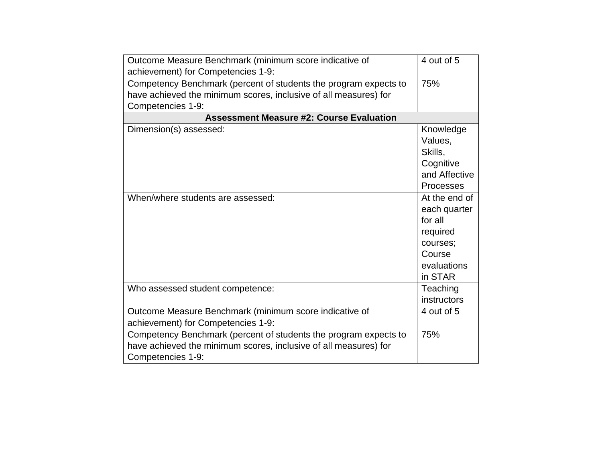| Outcome Measure Benchmark (minimum score indicative of           | 4 out of 5       |  |  |  |  |  |  |  |
|------------------------------------------------------------------|------------------|--|--|--|--|--|--|--|
| achievement) for Competencies 1-9:                               |                  |  |  |  |  |  |  |  |
| Competency Benchmark (percent of students the program expects to | 75%              |  |  |  |  |  |  |  |
| have achieved the minimum scores, inclusive of all measures) for |                  |  |  |  |  |  |  |  |
| Competencies 1-9:                                                |                  |  |  |  |  |  |  |  |
| <b>Assessment Measure #2: Course Evaluation</b>                  |                  |  |  |  |  |  |  |  |
| Dimension(s) assessed:                                           | Knowledge        |  |  |  |  |  |  |  |
|                                                                  | Values,          |  |  |  |  |  |  |  |
|                                                                  | Skills,          |  |  |  |  |  |  |  |
|                                                                  | Cognitive        |  |  |  |  |  |  |  |
|                                                                  | and Affective    |  |  |  |  |  |  |  |
|                                                                  | <b>Processes</b> |  |  |  |  |  |  |  |
| When/where students are assessed:                                | At the end of    |  |  |  |  |  |  |  |
|                                                                  | each quarter     |  |  |  |  |  |  |  |
|                                                                  | for all          |  |  |  |  |  |  |  |
|                                                                  | required         |  |  |  |  |  |  |  |
|                                                                  | courses;         |  |  |  |  |  |  |  |
|                                                                  | Course           |  |  |  |  |  |  |  |
|                                                                  | evaluations      |  |  |  |  |  |  |  |
|                                                                  | in STAR          |  |  |  |  |  |  |  |
| Who assessed student competence:                                 | Teaching         |  |  |  |  |  |  |  |
|                                                                  | instructors      |  |  |  |  |  |  |  |
| Outcome Measure Benchmark (minimum score indicative of           | 4 out of 5       |  |  |  |  |  |  |  |
| achievement) for Competencies 1-9:                               |                  |  |  |  |  |  |  |  |
| Competency Benchmark (percent of students the program expects to | 75%              |  |  |  |  |  |  |  |
| have achieved the minimum scores, inclusive of all measures) for |                  |  |  |  |  |  |  |  |
| Competencies 1-9:                                                |                  |  |  |  |  |  |  |  |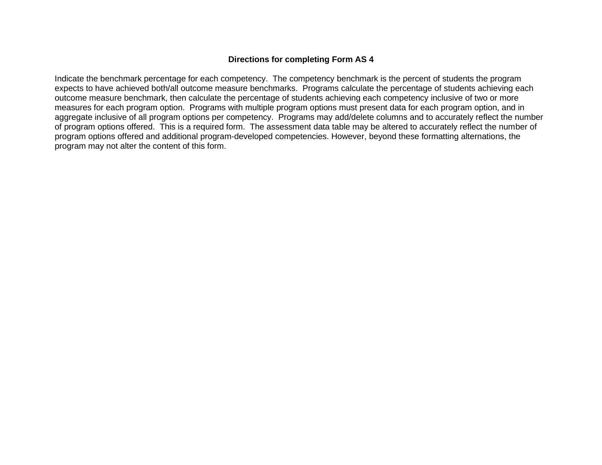## **Directions for completing Form AS 4**

Indicate the benchmark percentage for each competency. The competency benchmark is the percent of students the program expects to have achieved both/all outcome measure benchmarks. Programs calculate the percentage of students achieving each outcome measure benchmark, then calculate the percentage of students achieving each competency inclusive of two or more measures for each program option. Programs with multiple program options must present data for each program option, and in aggregate inclusive of all program options per competency. Programs may add/delete columns and to accurately reflect the number of program options offered. This is a required form. The assessment data table may be altered to accurately reflect the number of program options offered and additional program-developed competencies. However, beyond these formatting alternations, the program may not alter the content of this form.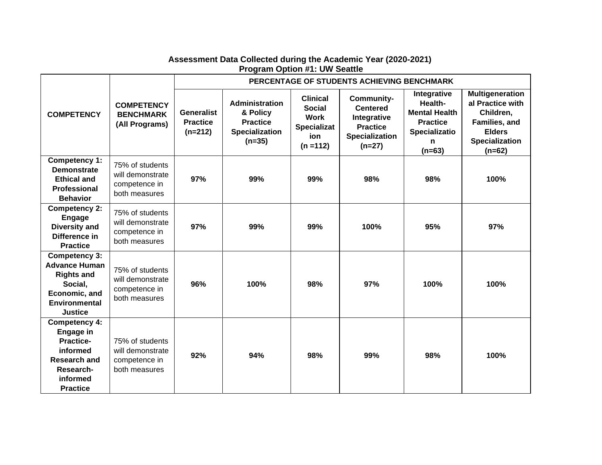|                                                                                                                                      |                                                                       | PERCENTAGE OF STUDENTS ACHIEVING BENCHMARK        |                                                                                    |                                                                                             |                                                                                                      |                                                                                                     |                                                                                                                                |
|--------------------------------------------------------------------------------------------------------------------------------------|-----------------------------------------------------------------------|---------------------------------------------------|------------------------------------------------------------------------------------|---------------------------------------------------------------------------------------------|------------------------------------------------------------------------------------------------------|-----------------------------------------------------------------------------------------------------|--------------------------------------------------------------------------------------------------------------------------------|
| <b>COMPETENCY</b>                                                                                                                    | <b>COMPETENCY</b><br><b>BENCHMARK</b><br>(All Programs)               | <b>Generalist</b><br><b>Practice</b><br>$(n=212)$ | Administration<br>& Policy<br><b>Practice</b><br><b>Specialization</b><br>$(n=35)$ | <b>Clinical</b><br><b>Social</b><br><b>Work</b><br><b>Specializat</b><br>ion<br>$(n = 112)$ | Community-<br><b>Centered</b><br>Integrative<br><b>Practice</b><br><b>Specialization</b><br>$(n=27)$ | Integrative<br>Health-<br><b>Mental Health</b><br><b>Practice</b><br>Specializatio<br>n<br>$(n=63)$ | <b>Multigeneration</b><br>al Practice with<br>Children,<br>Families, and<br><b>Elders</b><br><b>Specialization</b><br>$(n=62)$ |
| Competency 1:<br><b>Demonstrate</b><br><b>Ethical and</b><br><b>Professional</b><br><b>Behavior</b>                                  | 75% of students<br>will demonstrate<br>competence in<br>both measures | 97%                                               | 99%                                                                                | 99%                                                                                         | 98%                                                                                                  | 98%                                                                                                 | 100%                                                                                                                           |
| <b>Competency 2:</b><br>Engage<br><b>Diversity and</b><br>Difference in<br><b>Practice</b>                                           | 75% of students<br>will demonstrate<br>competence in<br>both measures | 97%                                               | 99%                                                                                | 99%                                                                                         | 100%                                                                                                 | 95%                                                                                                 | 97%                                                                                                                            |
| Competency 3:<br><b>Advance Human</b><br><b>Rights and</b><br>Social,<br>Economic, and<br><b>Environmental</b><br><b>Justice</b>     | 75% of students<br>will demonstrate<br>competence in<br>both measures | 96%                                               | 100%                                                                               | 98%                                                                                         | 97%                                                                                                  | 100%                                                                                                | 100%                                                                                                                           |
| <b>Competency 4:</b><br>Engage in<br><b>Practice-</b><br>informed<br><b>Research and</b><br>Research-<br>informed<br><b>Practice</b> | 75% of students<br>will demonstrate<br>competence in<br>both measures | 92%                                               | 94%                                                                                | 98%                                                                                         | 99%                                                                                                  | 98%                                                                                                 | 100%                                                                                                                           |

## **Assessment Data Collected during the Academic Year (2020-2021) Program Option #1: UW Seattle**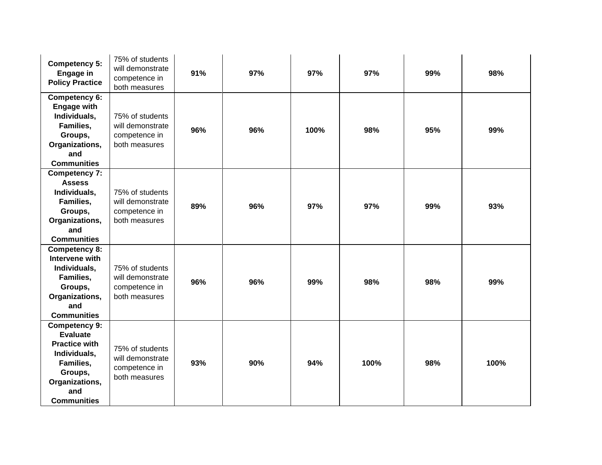| <b>Competency 5:</b><br>Engage in<br><b>Policy Practice</b>                                                                                            | 75% of students<br>will demonstrate<br>competence in<br>both measures | 91% | 97% | 97%  | 97%  | 99% | 98%  |
|--------------------------------------------------------------------------------------------------------------------------------------------------------|-----------------------------------------------------------------------|-----|-----|------|------|-----|------|
| Competency 6:<br><b>Engage with</b><br>Individuals,<br>Families,<br>Groups,<br>Organizations,<br>and<br><b>Communities</b>                             | 75% of students<br>will demonstrate<br>competence in<br>both measures | 96% | 96% | 100% | 98%  | 95% | 99%  |
| <b>Competency 7:</b><br><b>Assess</b><br>Individuals,<br>Families,<br>Groups,<br>Organizations,<br>and<br><b>Communities</b>                           | 75% of students<br>will demonstrate<br>competence in<br>both measures | 89% | 96% | 97%  | 97%  | 99% | 93%  |
| <b>Competency 8:</b><br>Intervene with<br>Individuals,<br>Families,<br>Groups,<br>Organizations,<br>and<br><b>Communities</b>                          | 75% of students<br>will demonstrate<br>competence in<br>both measures | 96% | 96% | 99%  | 98%  | 98% | 99%  |
| <b>Competency 9:</b><br><b>Evaluate</b><br><b>Practice with</b><br>Individuals,<br>Families,<br>Groups,<br>Organizations,<br>and<br><b>Communities</b> | 75% of students<br>will demonstrate<br>competence in<br>both measures | 93% | 90% | 94%  | 100% | 98% | 100% |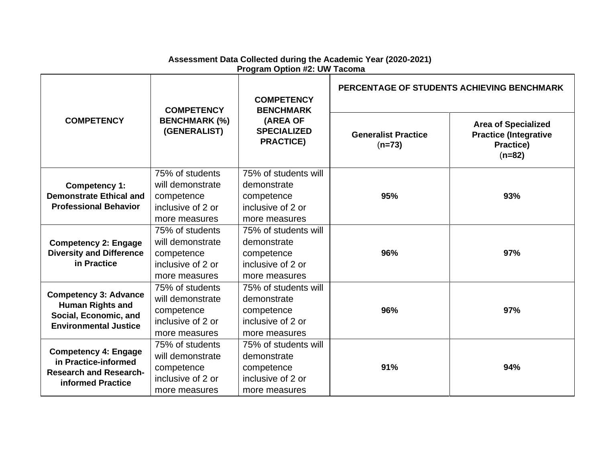|                                                         | <b>COMPETENCY</b>                    | <b>COMPETENCY</b><br><b>BENCHMARK</b>              | PERCENTAGE OF STUDENTS ACHIEVING BENCHMARK |                                                                                            |  |
|---------------------------------------------------------|--------------------------------------|----------------------------------------------------|--------------------------------------------|--------------------------------------------------------------------------------------------|--|
| <b>COMPETENCY</b>                                       | <b>BENCHMARK (%)</b><br>(GENERALIST) | (AREA OF<br><b>SPECIALIZED</b><br><b>PRACTICE)</b> | <b>Generalist Practice</b><br>$(n=73)$     | <b>Area of Specialized</b><br><b>Practice (Integrative</b><br><b>Practice)</b><br>$(n=82)$ |  |
|                                                         | 75% of students                      | 75% of students will                               |                                            |                                                                                            |  |
| Competency 1:                                           | will demonstrate                     | demonstrate                                        |                                            |                                                                                            |  |
| <b>Demonstrate Ethical and</b>                          | competence                           | competence                                         | 95%                                        | 93%                                                                                        |  |
| <b>Professional Behavior</b>                            | inclusive of 2 or                    | inclusive of 2 or                                  |                                            |                                                                                            |  |
|                                                         | more measures                        | more measures                                      |                                            |                                                                                            |  |
|                                                         | 75% of students                      | 75% of students will                               |                                            |                                                                                            |  |
| <b>Competency 2: Engage</b>                             | will demonstrate                     | demonstrate                                        |                                            |                                                                                            |  |
| <b>Diversity and Difference</b>                         | competence                           | competence                                         | 96%                                        | 97%                                                                                        |  |
| in Practice                                             | inclusive of 2 or                    | inclusive of 2 or                                  |                                            |                                                                                            |  |
|                                                         | more measures                        | more measures                                      |                                            |                                                                                            |  |
|                                                         | 75% of students                      | 75% of students will                               |                                            |                                                                                            |  |
| <b>Competency 3: Advance</b><br><b>Human Rights and</b> | will demonstrate                     | demonstrate                                        |                                            |                                                                                            |  |
| Social, Economic, and                                   | competence                           | competence                                         | 96%                                        | 97%                                                                                        |  |
| <b>Environmental Justice</b>                            | inclusive of 2 or                    | inclusive of 2 or                                  |                                            |                                                                                            |  |
|                                                         | more measures                        | more measures                                      |                                            |                                                                                            |  |
|                                                         | 75% of students                      | 75% of students will                               |                                            |                                                                                            |  |
| <b>Competency 4: Engage</b><br>in Practice-informed     | will demonstrate                     | demonstrate                                        |                                            |                                                                                            |  |
| <b>Research and Research-</b>                           | competence                           | competence                                         | 91%                                        | 94%                                                                                        |  |
| informed Practice                                       | inclusive of 2 or                    | inclusive of 2 or                                  |                                            |                                                                                            |  |
|                                                         | more measures                        | more measures                                      |                                            |                                                                                            |  |

## **Assessment Data Collected during the Academic Year (2020-2021) Program Option #2: UW Tacoma**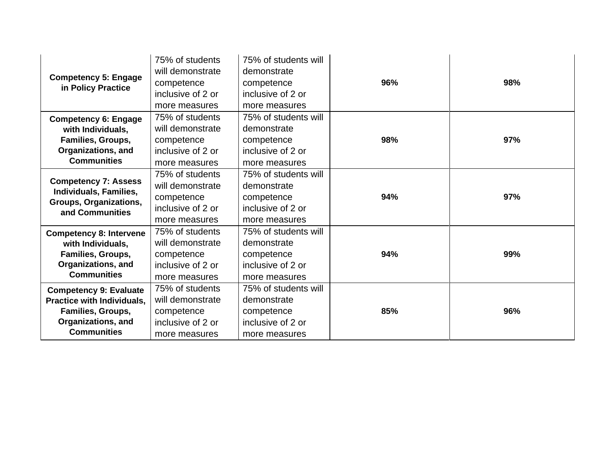| <b>Competency 5: Engage</b><br>in Policy Practice                                                                                                                                                            | 75% of students<br>will demonstrate<br>competence<br>inclusive of 2 or<br>more measures | 75% of students will<br>demonstrate<br>competence<br>inclusive of 2 or<br>more measures        | 96% | 98% |
|--------------------------------------------------------------------------------------------------------------------------------------------------------------------------------------------------------------|-----------------------------------------------------------------------------------------|------------------------------------------------------------------------------------------------|-----|-----|
| 75% of students<br><b>Competency 6: Engage</b><br>will demonstrate<br>with Individuals,<br>Families, Groups,<br>competence<br>Organizations, and<br>inclusive of 2 or<br><b>Communities</b><br>more measures |                                                                                         | 75% of students will<br>demonstrate<br>98%<br>competence<br>inclusive of 2 or<br>more measures |     | 97% |
| <b>Competency 7: Assess</b><br>Individuals, Families,<br>Groups, Organizations,<br>and Communities                                                                                                           | 75% of students<br>will demonstrate<br>competence<br>inclusive of 2 or<br>more measures | 75% of students will<br>demonstrate<br>competence<br>inclusive of 2 or<br>more measures        | 94% | 97% |
| <b>Competency 8: Intervene</b><br>with Individuals,<br>Families, Groups,<br><b>Organizations, and</b><br><b>Communities</b>                                                                                  | 75% of students<br>will demonstrate<br>competence<br>inclusive of 2 or<br>more measures | 75% of students will<br>demonstrate<br>competence<br>inclusive of 2 or<br>more measures        | 94% | 99% |
| <b>Competency 9: Evaluate</b><br>Practice with Individuals,<br><b>Families, Groups,</b><br>Organizations, and<br><b>Communities</b>                                                                          | 75% of students<br>will demonstrate<br>competence<br>inclusive of 2 or<br>more measures | 75% of students will<br>demonstrate<br>competence<br>inclusive of 2 or<br>more measures        | 85% | 96% |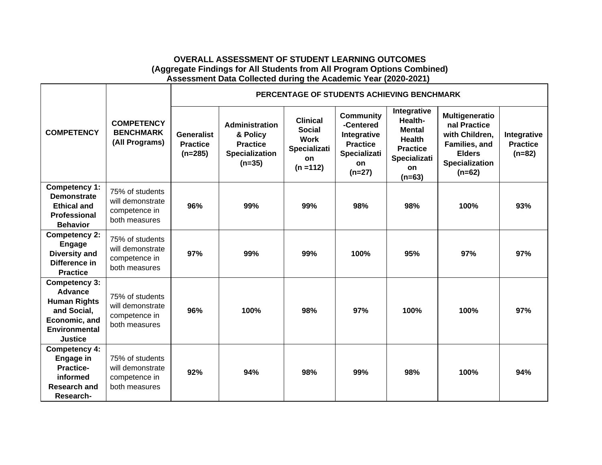### **OVERALL ASSESSMENT OF STUDENT LEARNING OUTCOMES (Aggregate Findings for All Students from All Program Options Combined) Assessment Data Collected during the Academic Year (2020-2021)**

|                                                                                                                                  |                                                                       | PERCENTAGE OF STUDENTS ACHIEVING BENCHMARK        |                                                                                           |                                                                                             |                                                                                                          |                                                                                                               |                                                                                                                         |                                            |
|----------------------------------------------------------------------------------------------------------------------------------|-----------------------------------------------------------------------|---------------------------------------------------|-------------------------------------------------------------------------------------------|---------------------------------------------------------------------------------------------|----------------------------------------------------------------------------------------------------------|---------------------------------------------------------------------------------------------------------------|-------------------------------------------------------------------------------------------------------------------------|--------------------------------------------|
| <b>COMPETENCY</b>                                                                                                                | <b>COMPETENCY</b><br><b>BENCHMARK</b><br>(All Programs)               | <b>Generalist</b><br><b>Practice</b><br>$(n=285)$ | <b>Administration</b><br>& Policy<br><b>Practice</b><br><b>Specialization</b><br>$(n=35)$ | <b>Clinical</b><br><b>Social</b><br><b>Work</b><br><b>Specializati</b><br>on<br>$(n = 112)$ | <b>Community</b><br>-Centered<br>Integrative<br><b>Practice</b><br><b>Specializati</b><br>on<br>$(n=27)$ | Integrative<br>Health-<br><b>Mental</b><br><b>Health</b><br><b>Practice</b><br>Specializati<br>on<br>$(n=63)$ | Multigeneratio<br>nal Practice<br>with Children,<br>Families, and<br><b>Elders</b><br><b>Specialization</b><br>$(n=62)$ | Integrative<br><b>Practice</b><br>$(n=82)$ |
| Competency 1:<br><b>Demonstrate</b><br><b>Ethical and</b><br><b>Professional</b><br><b>Behavior</b>                              | 75% of students<br>will demonstrate<br>competence in<br>both measures | 96%                                               | 99%                                                                                       | 99%                                                                                         | 98%                                                                                                      | 98%                                                                                                           | 100%                                                                                                                    | 93%                                        |
| <b>Competency 2:</b><br>Engage<br><b>Diversity and</b><br>Difference in<br><b>Practice</b>                                       | 75% of students<br>will demonstrate<br>competence in<br>both measures | 97%                                               | 99%                                                                                       | 99%                                                                                         | 100%                                                                                                     | 95%                                                                                                           | 97%                                                                                                                     | 97%                                        |
| Competency 3:<br><b>Advance</b><br><b>Human Rights</b><br>and Social,<br>Economic, and<br><b>Environmental</b><br><b>Justice</b> | 75% of students<br>will demonstrate<br>competence in<br>both measures | 96%                                               | 100%                                                                                      | 98%                                                                                         | 97%                                                                                                      | 100%                                                                                                          | 100%                                                                                                                    | 97%                                        |
| Competency 4:<br>Engage in<br><b>Practice-</b><br>informed<br>Research and<br>Research-                                          | 75% of students<br>will demonstrate<br>competence in<br>both measures | 92%                                               | 94%                                                                                       | 98%                                                                                         | 99%                                                                                                      | 98%                                                                                                           | 100%                                                                                                                    | 94%                                        |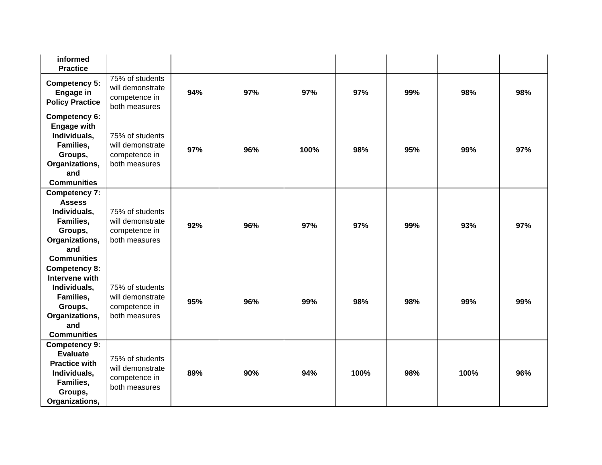| informed<br><b>Practice</b>                                                                                                       |                                                                       |     |     |      |      |     |      |     |
|-----------------------------------------------------------------------------------------------------------------------------------|-----------------------------------------------------------------------|-----|-----|------|------|-----|------|-----|
| <b>Competency 5:</b><br>Engage in<br><b>Policy Practice</b>                                                                       | 75% of students<br>will demonstrate<br>competence in<br>both measures | 94% | 97% | 97%  | 97%  | 99% | 98%  | 98% |
| <b>Competency 6:</b><br><b>Engage with</b><br>Individuals,<br>Families,<br>Groups,<br>Organizations,<br>and<br><b>Communities</b> | 75% of students<br>will demonstrate<br>competence in<br>both measures | 97% | 96% | 100% | 98%  | 95% | 99%  | 97% |
| <b>Competency 7:</b><br><b>Assess</b><br>Individuals,<br>Families,<br>Groups,<br>Organizations,<br>and<br><b>Communities</b>      | 75% of students<br>will demonstrate<br>competence in<br>both measures | 92% | 96% | 97%  | 97%  | 99% | 93%  | 97% |
| <b>Competency 8:</b><br>Intervene with<br>Individuals,<br>Families,<br>Groups,<br>Organizations,<br>and<br><b>Communities</b>     | 75% of students<br>will demonstrate<br>competence in<br>both measures | 95% | 96% | 99%  | 98%  | 98% | 99%  | 99% |
| <b>Competency 9:</b><br><b>Evaluate</b><br><b>Practice with</b><br>Individuals,<br>Families,<br>Groups,<br>Organizations,         | 75% of students<br>will demonstrate<br>competence in<br>both measures | 89% | 90% | 94%  | 100% | 98% | 100% | 96% |